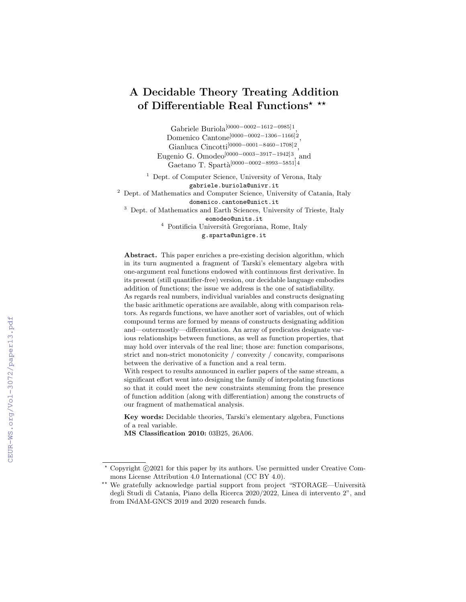# A Decidable Theory Treating Addition of Differentiable Real Functions\* \*\*

Gabriele Buriola[0000−0002−1612−0985]1 , Domenico Cantone[0000−0002−1306−1166]2 , Gianluca Cincotti[0000−0001−8460−1708]2 , Eugenio G. Omodeo[0000−0003−3917−1942]3, and Gaetano T. Spartà<sup>[0000</sup>−0002−8993−5851]4

<sup>1</sup> Dept. of Computer Science, University of Verona, Italy gabriele.buriola@univr.it

<sup>2</sup> Dept. of Mathematics and Computer Science, University of Catania, Italy domenico.cantone@unict.it

<sup>3</sup> Dept. of Mathematics and Earth Sciences, University of Trieste, Italy

eomodeo@units.it

<sup>4</sup> Pontificia Università Gregoriana, Rome, Italy g.sparta@unigre.it

Abstract. This paper enriches a pre-existing decision algorithm, which in its turn augmented a fragment of Tarski's elementary algebra with one-argument real functions endowed with continuous first derivative. In its present (still quantifier-free) version, our decidable language embodies addition of functions; the issue we address is the one of satisfiability. As regards real numbers, individual variables and constructs designating the basic arithmetic operations are available, along with comparison relators. As regards functions, we have another sort of variables, out of which compound terms are formed by means of constructs designating addition and—outermostly—differentiation. An array of predicates designate various relationships between functions, as well as function properties, that may hold over intervals of the real line; those are: function comparisons, strict and non-strict monotonicity / convexity / concavity, comparisons between the derivative of a function and a real term.

With respect to results announced in earlier papers of the same stream, a significant effort went into designing the family of interpolating functions so that it could meet the new constraints stemming from the presence of function addition (along with differentiation) among the constructs of our fragment of mathematical analysis.

Key words: Decidable theories, Tarski's elementary algebra, Functions of a real variable.

MS Classification 2010: 03B25, 26A06.

 $*$  Copyright  $\odot$ 2021 for this paper by its authors. Use permitted under Creative Commons License Attribution 4.0 International (CC BY 4.0).

<sup>\*\*</sup> We gratefully acknowledge partial support from project "STORAGE—Università degli Studi di Catania, Piano della Ricerca 2020/2022, Linea di intervento 2", and from INdAM-GNCS 2019 and 2020 research funds.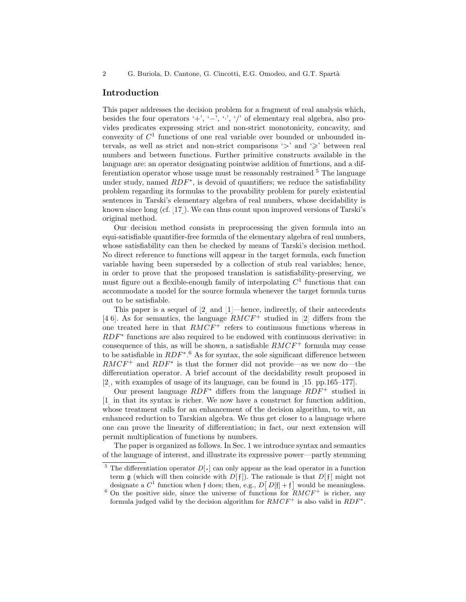2 G. Buriola, D. Cantone, G. Cincotti, E.G. Omodeo, and G.T. Spartà

## Introduction

This paper addresses the decision problem for a fragment of real analysis which, besides the four operators '+', '-', ' $\cdot'$ ', '/' of elementary real algebra, also provides predicates expressing strict and non-strict monotonicity, concavity, and convexity of  $C<sup>1</sup>$  functions of one real variable over bounded or unbounded intervals, as well as strict and non-strict comparisons ' $>$ ' and ' $\geq$ ' between real numbers and between functions. Further primitive constructs available in the language are: an operator designating pointwise addition of functions, and a differentiation operator whose usage must be reasonably restrained.[5](#page-1-0) The language under study, named  $RDF^*$ , is devoid of quantifiers; we reduce the satisfiability problem regarding its formulas to the provability problem for purely existential sentences in Tarski's elementary algebra of real numbers, whose decidability is known since long (cf. [\[17\]](#page-13-0)). We can thus count upon improved versions of Tarski's original method.

Our decision method consists in preprocessing the given formula into an equi-satisfiable quantifier-free formula of the elementary algebra of real numbers, whose satisfiability can then be checked by means of Tarski's decision method. No direct reference to functions will appear in the target formula, each function variable having been superseded by a collection of stub real variables; hence, in order to prove that the proposed translation is satisfiability-preserving, we must figure out a flexible-enough family of interpolating  $C<sup>1</sup>$  functions that can accommodate a model for the source formula whenever the target formula turns out to be satisfiable.

This paper is a sequel of [\[2\]](#page-12-0) and [\[1\]](#page-12-1)—hence, indirectly, of their antecedents [\[4,](#page-12-2)[6\]](#page-12-3). As for semantics, the language  $RMCF^+$  studied in [\[2\]](#page-12-0) differs from the one treated here in that  $RMCF^+$  refers to continuous functions whereas in RDF<sup>\*</sup> functions are also required to be endowed with continuous derivative: in consequence of this, as will be shown, a satisfiable  $RMCF^+$  formula may cease to be satisfiable in  $RDF^*$ .<sup>[6](#page-1-1)</sup> As for syntax, the sole significant difference between  $RMCF^+$  and  $RDF^*$  is that the former did not provide—as we now do—the differentiation operator. A brief account of the decidability result proposed in [\[2\]](#page-12-0), with examples of usage of its language, can be found in [\[15,](#page-12-4) pp.165–177].

Our present language  $RDF^*$  differs from the language  $RDF^+$  studied in [\[1\]](#page-12-1) in that its syntax is richer. We now have a construct for function addition, whose treatment calls for an enhancement of the decision algorithm, to wit, an enhanced reduction to Tarskian algebra. We thus get closer to a language where one can prove the linearity of differentiation; in fact, our next extension will permit multiplication of functions by numbers.

The paper is organized as follows. In Sec. [1](#page-2-0) we introduce syntax and semantics of the language of interest, and illustrate its expressive power—partly stemming

<span id="page-1-0"></span><sup>&</sup>lt;sup>5</sup> The differentiation operator  $D[\cdot]$  can only appear as the lead operator in a function term g (which will then coincide with  $D[f]$ ). The rationale is that  $D[f]$  might not designate a  $C^1$  function when f does; then, e.g.,  $D[D|f] + f$  would be meaningless.

<span id="page-1-1"></span> $6$  On the positive side, since the universe of functions for  $RMCF^+$  is richer, any formula judged valid by the decision algorithm for  $RMCF^+$  is also valid in  $RDF^*$ .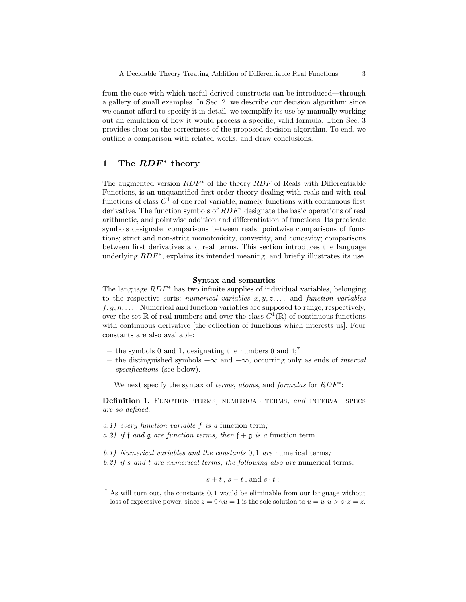from the ease with which useful derived constructs can be introduced—through a gallery of small examples. In Sec. [2,](#page-7-0) we describe our decision algorithm: since we cannot afford to specify it in detail, we exemplify its use by manually working out an emulation of how it would process a specific, valid formula. Then Sec. [3](#page-8-0) provides clues on the correctness of the proposed decision algorithm. To end, we outline a comparison with related works, and draw conclusions.

## <span id="page-2-0"></span>1 The RDF<sup>\*</sup> theory

The augmented version RDF<sup>∗</sup> of the theory RDF of Reals with Differentiable Functions, is an unquantified first-order theory dealing with reals and with real functions of class  $C^1$  of one real variable, namely functions with continuous first derivative. The function symbols of  $RDF^*$  designate the basic operations of real arithmetic, and pointwise addition and differentiation of functions. Its predicate symbols designate: comparisons between reals, pointwise comparisons of functions; strict and non-strict monotonicity, convexity, and concavity; comparisons between first derivatives and real terms. This section introduces the language underlying  $RDF^*$ , explains its intended meaning, and briefly illustrates its use.

#### Syntax and semantics

The language RDF<sup>∗</sup> has two infinite supplies of individual variables, belonging to the respective sorts: numerical variables  $x, y, z, \ldots$  and function variables  $f, g, h, \ldots$ . Numerical and function variables are supposed to range, respectively, over the set  $\mathbb R$  of real numbers and over the class  $C^1(\mathbb R)$  of continuous functions with continuous derivative [the collection of functions which interests us]. Four constants are also available:

- the symbols 0 and 1, designating the numbers 0 and  $1$ ;<sup>[7](#page-2-1)</sup>
- the distinguished symbols  $+\infty$  and  $-\infty$ , occurring only as ends of *interval* specifications (see below).

We next specify the syntax of *terms, atoms,* and *formulas* for  $RDF^*$ :

Definition 1. FUNCTION TERMS, NUMERICAL TERMS, and INTERVAL SPECS are so defined:

- $a.1)$  every function variable f is a function term;
- a.2) if f and g are function terms, then  $f + g$  is a function term.
- b.1) Numerical variables and the constants 0, 1 are numerical terms;
- $b.2$ ) if s and t are numerical terms, the following also are numerical terms:

 $s+t$ ,  $s-t$ , and  $s \cdot t$ ;

<span id="page-2-1"></span><sup>7</sup> As will turn out, the constants 0, 1 would be eliminable from our language without loss of expressive power, since  $z = 0 \wedge u = 1$  is the sole solution to  $u = u \cdot u > z \cdot z = z$ .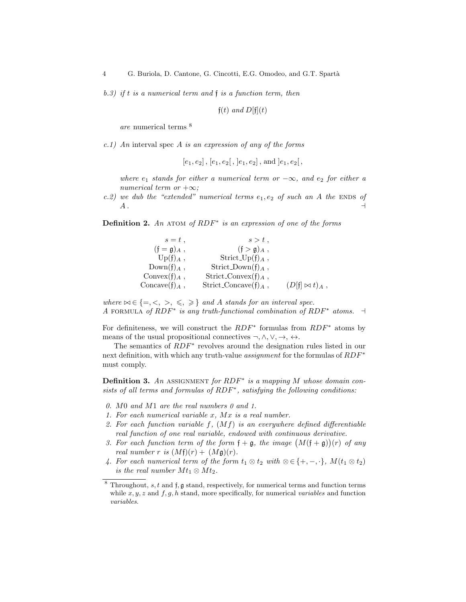$b.3)$  if t is a numerical term and f is a function term, then

 $f(t)$  and  $D[f](t)$ 

are numerical terms. [8](#page-3-0)

c.1) An interval spec A is an expression of any of the forms

 $[e_1, e_2]$ ,  $[e_1, e_2]$ ,  $[e_1, e_2]$ , and  $[e_1, e_2]$ ,

where  $e_1$  stands for either a numerical term or  $-\infty$ , and  $e_2$  for either a numerical term or  $+\infty$ ;

c.2) we dub the "extended" numerical terms  $e_1, e_2$  of such an A the ENDS of  $A$  .  $\qquad \qquad \vdots$ 

**Definition 2.** An ATOM of  $RDF^*$  is an expression of one of the forms

| $s=t$ ,                   | $s > t$ ,                        |                       |
|---------------------------|----------------------------------|-----------------------|
| $(f = \mathfrak{g})_A$ ,  | $(f > g)_{A}$ ,                  |                       |
| $Up(f)_A$ ,               | Strict_Up(f) <sub>A</sub> ,      |                       |
| $Down(f)_{A}$ ,           | Strict_Down $(f)_A$ ,            |                       |
| Convex $(f)_A$ ,          | Strict_Convex $(f)_A$ ,          |                       |
| Concave(f) <sub>A</sub> , | Strict_Concave(f) <sub>A</sub> , | $(D[f] \bowtie t)_A,$ |

where  $\bowtie \in \{ =, <, >, \leq, \geq \}$  and A stands for an interval spec. A FORMULA of  $RDF^*$  is any truth-functional combination of  $RDF^*$  atoms.  $\exists$ 

For definiteness, we will construct the  $RDF^*$  formulas from  $RDF^*$  atoms by means of the usual propositional connectives  $\neg, \wedge, \vee, \rightarrow, \leftrightarrow$ .

The semantics of  $RDF^*$  revolves around the designation rules listed in our next definition, with which any truth-value *assignment* for the formulas of  $RDF^*$ must comply.

**Definition 3.** An ASSIGNMENT for  $RDF^*$  is a mapping M whose domain consists of all terms and formulas of RDF<sup>\*</sup>, satisfying the following conditions:

- 0. M0 and M1 are the real numbers 0 and 1.
- 1. For each numerical variable x, Mx is a real number.
- 2. For each function variable  $f, (Mf)$  is an everywhere defined differentiable real function of one real variable, endowed with continuous derivative.
- 3. For each function term of the form  $\mathfrak{f} + \mathfrak{g}$ , the image  $(M(\mathfrak{f} + \mathfrak{g}))(r)$  of any real number r is  $(Mf)(r) + (Mg)(r)$ .
- 4. For each numerical term of the form  $t_1 \otimes t_2$  with  $\otimes \in \{+, -, \cdot\}$ ,  $M(t_1 \otimes t_2)$ is the real number  $Mt_1 \otimes Mt_2$ .

<span id="page-3-0"></span> $8$  Throughout, s, t and f,  $\mathfrak g$  stand, respectively, for numerical terms and function terms while  $x, y, z$  and  $f, g, h$  stand, more specifically, for numerical variables and function variables.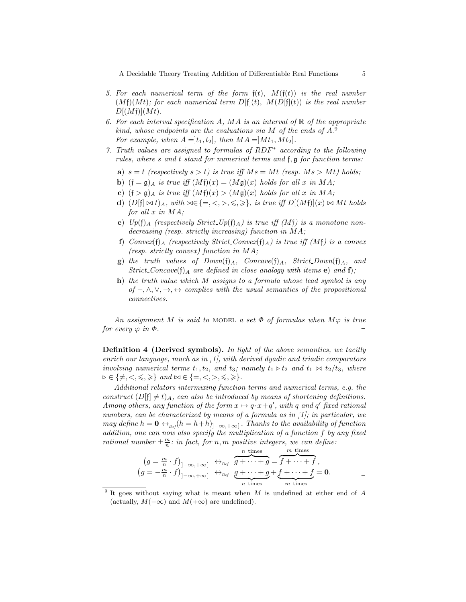A Decidable Theory Treating Addition of Differentiable Real Functions  $5\,$ 

- 5. For each numerical term of the form  $f(t)$ ,  $M(f(t))$  is the real number  $(Mf)(Mt)$ ; for each numerical term  $D[f](t)$ ,  $M(D[f](t))$  is the real number  $D[(M\mathfrak{f})](Mt)$ .
- 6. For each interval specification A, MA is an interval of  $\mathbb R$  of the appropriate kind, whose endpoints are the evaluations via M of the ends of  $A$ .<sup>[9](#page-4-0)</sup> For example, when  $A = [t_1, t_2]$ , then  $MA = [Mt_1, Mt_2]$ .
- <span id="page-4-1"></span>7. Truth values are assigned to formulas of RDF<sup>∗</sup> according to the following rules, where s and t stand for numerical terms and  $f, g$  for function terms:
	- a)  $s = t$  (respectively  $s > t$ ) is true iff  $Ms = Mt$  (resp.  $Ms > Mt$ ) holds;
	- **b**)  $(f = \mathfrak{g})_A$  is true iff  $(Mf)(x) = (M\mathfrak{g})(x)$  holds for all x in MA;
	- c)  $(f > g)$  is true iff  $(Mf)(x) > (Mg)(x)$  holds for all x in MA;
	- d)  $(D[f] \bowtie t)_A$ , with  $\bowtie \in \{=, <, >, \leq, \geq\}$ , is true iff  $D[(Mf)](x) \bowtie Mt$  holds for all  $x$  in  $MA;$
	- e)  $Up(f)_A$  (respectively Strict Up(f) A) is true iff (Mf) is a monotone nondecreasing (resp. strictly increasing) function in MA;
	- f) Convex(f) A (respectively Strict Convex(f) A) is true iff  $(Mf)$  is a convex (resp. strictly convex) function in MA;
	- **g**) the truth values of  $Down(f)_{A}$ ,  $Concave(f)_{A}$ ,  $Strict_Down(f)_{A}$ , and Strict Concav[e](#page-4-1)(f[\)](#page-4-2) a are defined in close analogy with items e) and f);
	- $h)$  the truth value which M assigns to a formula whose lead symbol is any of  $\neg, \wedge, \vee, \rightarrow, \leftrightarrow$  complies with the usual semantics of the propositional connectives.

<span id="page-4-2"></span>An assignment M is said to MODEL a set  $\Phi$  of formulas when  $M\varphi$  is true for every  $\varphi$  in  $\Phi$ .

Definition 4 (Derived symbols). In light of the above semantics, we tacitly enrich our language, much as in [\[1\]](#page-12-1), with derived dyadic and triadic comparators involving numerical terms  $t_1, t_2,$  and  $t_3$ ; namely  $t_1 \triangleright t_2$  and  $t_1 \bowtie t_2/t_3$ , where  $\triangleright \in \{ \neq, \leq, \leq, \geq\}$  and  $\bowtie \in \{ =, \leq, >, \leq, \geq\}.$ 

Additional relators intermixing function terms and numerical terms, e.g. the construct  $(D[f] \neq t)_{A}$ , can also be introduced by means of shortening definitions. Among others, any function of the form  $x \mapsto q \cdot x + q'$ , with q and q' fixed rational numbers, can be characterized by means of a formula as in [\[1\]](#page-12-1); in particular, we may define  $h = \mathbf{0} \leftrightarrow_{\text{Def}} (h = h + h)_{]-\infty, +\infty[}$ . Thanks to the availability of function addition, one can now also specify the multiplication of a function f by any fixed rational number  $\pm \frac{m}{n}$ : in fact, for n, m positive integers, we can define:

$$
(g = \frac{m}{n} \cdot f)_{]-\infty, +\infty[} \leftrightarrow_{\text{Def}} \underbrace{g + \cdots + g}_{g + \cdots + g} = \underbrace{f + \cdots + f}_{f + \cdots + f},
$$
  

$$
(g = -\frac{m}{n} \cdot f)_{]-\infty, +\infty[} \leftrightarrow_{\text{Def}} \underbrace{g + \cdots + g}_{g + \cdots + g} + \underbrace{f + \cdots + f}_{m \text{ times}} = \mathbf{0}.
$$

<span id="page-4-0"></span><sup>&</sup>lt;sup>9</sup> It goes without saying what is meant when  $M$  is undefined at either end of  $A$ (actually,  $M(-\infty)$  and  $M(+\infty)$  are undefined).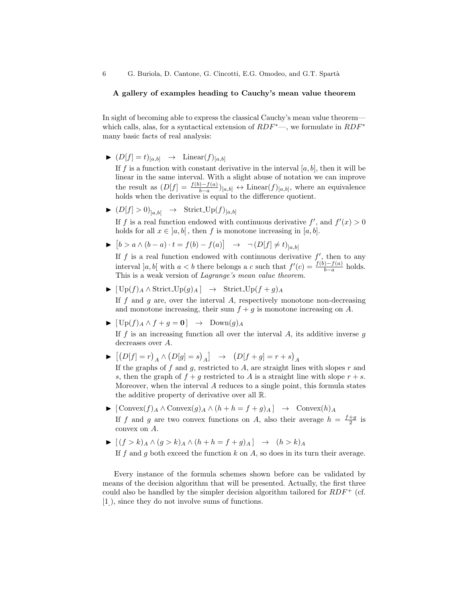#### A gallery of examples heading to Cauchy's mean value theorem

In sight of becoming able to express the classical Cauchy's mean value theorem which calls, alas, for a syntactical extension of  $RDF^*$ —, we formulate in  $RDF^*$ many basic facts of real analysis:

 $\blacktriangleright$   $(D[f] = t)_{[a,b]} \rightarrow$  Linear $(f)_{[a,b]}$ 

If f is a function with constant derivative in the interval  $[a, b]$ , then it will be linear in the same interval. With a slight abuse of notation we can improve the result as  $(D[f] = \frac{f(b)-f(a)}{b-a})_{[a,b]} \leftrightarrow \text{Linear}(f)_{[a,b]}$ , where an equivalence holds when the derivative is equal to the difference quotient.

 $\blacktriangleright$   $(D[f] > 0)_{[a,b]} \rightarrow$  Strict  $Up(f)_{[a,b]}$ 

If f is a real function endowed with continuous derivative  $f'$ , and  $f'(x) > 0$ holds for all  $x \in [a, b]$ , then f is monotone increasing in  $[a, b]$ .

►  $[b > a \wedge (b - a) \cdot t = f(b) - f(a)] \rightarrow \neg (D[f] \neq t)_{[a, b]}$ 

If  $f$  is a real function endowed with continuous derivative  $f'$ , then to any interval  $]a, b[$  with  $a < b$  there belongs a c such that  $f'(c) = \frac{f(b) - f(a)}{b - a}$  holds. This is a weak version of Lagrange's mean value theorem.

 $\blacktriangleright$   $[\text{Up}(f)_A \wedge \text{Strict\_Up}(g)_A] \rightarrow$  Strict\_Up(f + g)<sub>A</sub>

If f and q are, over the interval A, respectively monotone non-decreasing and monotone increasing, their sum  $f + g$  is monotone increasing on A.

 $\blacktriangleright$   $[\text{Up}(f)_A \wedge f + g = 0] \rightarrow \text{Down}(g)_A$ 

If  $f$  is an increasing function all over the interval  $A$ , its additive inverse  $g$ decreases over A.

- $\blacktriangleright \ \big[\!\!\big(D[f]=r\big)_A \wedge \big(D[g]=s\big)_A\big] \ \ \rightarrow \ \ \big(D[f+g]=r+s\big)_A$ If the graphs of  $f$  and  $g$ , restricted to  $A$ , are straight lines with slopes  $r$  and s, then the graph of  $f + g$  restricted to A is a straight line with slope  $r + s$ . Moreover, when the interval  $A$  reduces to a single point, this formula states the additive property of derivative over all R.
- $\blacktriangleright$  [Convex $(f)_A \wedge$ Convex $(g)_A \wedge (h + h = f + g)_A$ ] → Convex $(h)_A$ If f and g are two convex functions on A, also their average  $h = \frac{f+g}{2}$  is convex on A.
- $\blacktriangleright$   $[(f > k)_{A} \wedge (g > k)_{A} \wedge (h + h = f + g)_{A}] \rightarrow (h > k)_{A}$ If f and g both exceed the function  $k$  on  $A$ , so does in its turn their average.

Every instance of the formula schemes shown before can be validated by means of the decision algorithm that will be presented. Actually, the first three could also be handled by the simpler decision algorithm tailored for  $RDF^+$  (cf. [\[1\]](#page-12-1)), since they do not involve sums of functions.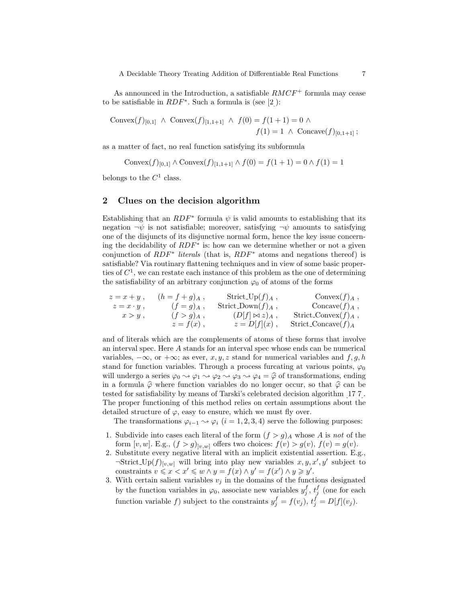A Decidable Theory Treating Addition of Differentiable Real Functions 7

As announced in the Introduction, a satisfiable  $RMCF^+$  formula may cease to be satisfiable in  $RDF^*$ . Such a formula is (see [\[2\]](#page-12-0)):

Convex
$$
(f)_{[0,1]}
$$
  $\wedge$  Convex $(f)_{[1,1+1]}$   $\wedge$   $f(0) = f(1 + 1) = 0$   $\wedge$   
 $f(1) = 1$   $\wedge$  Convave $(f)_{[0,1+1]}$ ;

as a matter of fact, no real function satisfying its subformula

Convex
$$
(f)_{[0,1]}
$$
  $\wedge$  Convex $(f)_{[1,1+1]} \wedge f(0) = f(1 + 1) = 0 \wedge f(1) = 1$ 

belongs to the  $C^1$  class.

## 2 Clues on the decision algorithm

Establishing that an  $RDF^*$  formula  $\psi$  is valid amounts to establishing that its negation  $\neg \psi$  is not satisfiable; moreover, satisfying  $\neg \psi$  amounts to satisfying one of the disjuncts of its disjunctive normal form, hence the key issue concerning the decidability of  $RDF^*$  is: how can we determine whether or not a given conjunction of  $RDF^*$  literals (that is,  $RDF^*$  atoms and negations thereof) is satisfiable? Via routinary flattening techniques and in view of some basic properties of  $C^1$ , we can restate each instance of this problem as the one of determining the satisfiability of an arbitrary conjunction  $\varphi_0$  of atoms of the forms

$$
z = x + y , \t (h = f + g)_{A} , \t \text{Strict\_Up}(f)_{A} , \t \text{Convex}(f)_{A} ,\n z = x \cdot y , \t (f = g)_{A} , \t \text{Strict\_Down}(f)_{A} , \t \text{Convex}(f)_{A} ,\n x > y , \t (f > g)_{A} , \t (D[f] \bowtie z)_{A} , \t \text{Strict\_Convex}(f)_{A} ,\n z = f(x) , \t \text{Strict\_Convex}(f)_{A}
$$

and of literals which are the complements of atoms of these forms that involve an interval spec. Here A stands for an interval spec whose ends can be numerical variables,  $-\infty$ , or  $+\infty$ ; as ever, x, y, z stand for numerical variables and  $f, g, h$ stand for function variables. Through a process furcating at various points,  $\varphi_0$ will undergo a series  $\varphi_0 \rightsquigarrow \varphi_1 \rightsquigarrow \varphi_2 \rightsquigarrow \varphi_3 \rightsquigarrow \varphi_4 = \widehat{\varphi}$  of transformations, ending in a formula  $\hat{\varphi}$  where function variables do no longer occur, so that  $\hat{\varphi}$  can be tested for satisfiability by means of Tarski's celebrated decision algorithm [\[17,](#page-13-0)[7\]](#page-12-5). The proper functioning of this method relies on certain assumptions about the detailed structure of  $\varphi$ , easy to ensure, which we must fly over.

The transformations  $\varphi_{i-1} \leadsto \varphi_i$   $(i = 1, 2, 3, 4)$  serve the following purposes:

- 1. Subdivide into cases each literal of the form  $(f > g)$ <sub>A</sub> whose A is not of the form  $[v, w]$ . E.g.,  $(f > g)_{[v, w]}$  offers two choices:  $f(v) > g(v)$ ,  $f(v) = g(v)$ .
- 2. Substitute every negative literal with an implicit existential assertion. E.g.,  $\exists$ Strict  $\text{Up}(f)_{[v,w]}$  will bring into play new variables  $x, y, x', y'$  subject to constraints  $v \leqslant x < x' \leqslant w \wedge y = f(x) \wedge y' = f(x') \wedge y \geqslant y'.$
- 3. With certain salient variables  $v_j$  in the domains of the functions designated by the function variables in  $\varphi_0$ , associate new variables  $y_j^f, t_j^f$  (one for each function variable f) subject to the constraints  $y_j^f = f(v_j)$ ,  $t_j^f = D[f](v_j)$ .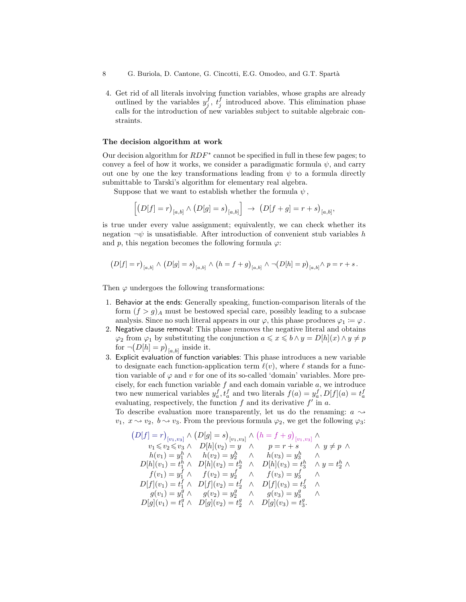- 8 G. Buriola, D. Cantone, G. Cincotti, E.G. Omodeo, and G.T. Spartà
- 4. Get rid of all literals involving function variables, whose graphs are already outlined by the variables  $y_j^f, t_j^f$  introduced above. This elimination phase calls for the introduction of new variables subject to suitable algebraic constraints.

#### <span id="page-7-0"></span>The decision algorithm at work

Our decision algorithm for  $RDF^*$  cannot be specified in full in these few pages; to convey a feel of how it works, we consider a paradigmatic formula  $\psi$ , and carry out one by one the key transformations leading from  $\psi$  to a formula directly submittable to Tarski's algorithm for elementary real algebra.

Suppose that we want to establish whether the formula  $\psi$ ,

$$
\left[ \left( D[f] = r \right)_{[a,b]} \wedge \left( D[g] = s \right)_{[a,b]} \right] \rightarrow \left( D[f+g] = r+s \right)_{[a,b]},
$$

is true under every value assignment; equivalently, we can check whether its negation  $\neg \psi$  is unsatisfiable. After introduction of convenient stub variables h and p, this negation becomes the following formula  $\varphi$ :

$$
(D[f] = r)_{[a,b]} \wedge (D[g] = s)_{[a,b]} \wedge (h = f + g)_{[a,b]} \wedge \neg (D[h] = p)_{[a,b]} \wedge p = r + s.
$$

Then  $\varphi$  undergoes the following transformations:

- 1. Behavior at the ends: Generally speaking, function-comparison literals of the form  $(f > g)$ <sub>A</sub> must be bestowed special care, possibly leading to a subcase analysis. Since no such literal appears in our  $\varphi$ , this phase produces  $\varphi_1 := \varphi$ .
- 2. Negative clause removal: This phase removes the negative literal and obtains  $\varphi_2$  from  $\varphi_1$  by substituting the conjunction  $a \leq x \leq b \wedge y = D[h](x) \wedge y \neq p$ for  $\neg(D[h] = p)_{[a,b]}$  inside it.
- 3. Explicit evaluation of function variables: This phase introduces a new variable to designate each function-application term  $\ell(v)$ , where  $\ell$  stands for a function variable of  $\varphi$  and v for one of its so-called 'domain' variables. More precisely, for each function variable  $f$  and each domain variable  $a$ , we introduce two new numerical variables  $y_a^f, t_a^f$  and two literals  $f(a) = y_a^f, D[f](a) = t_a^f$ evaluating, respectively, the function  $f$  and its derivative  $f'$  in  $a$ .

To describe evaluation more transparently, let us do the renaming:  $a \sim$  $v_1, x \rightarrow v_2, b \rightarrow v_3$ . From the previous formula  $\varphi_2$ , we get the following  $\varphi_3$ :

$$
(D[f] = r)_{[v_1, v_3]} \wedge (D[g] = s)_{[v_1, v_3]} \wedge (h = f + g)_{[v_1, v_3]} \wedge \n v_1 \le v_2 \le v_3 \wedge D[h](v_2) = y \wedge p = r + s \wedge y \ne p \wedge \n h(v_1) = y_1^h \wedge h(v_2) = y_2^h \wedge h(v_3) = y_3^h \wedge \n D[h](v_1) = t_1^h \wedge D[h](v_2) = t_2^h \wedge D[h](v_3) = t_3^h \wedge y = t_2^h \wedge \n f(v_1) = y_1^f \wedge f(v_2) = y_2^f \wedge f(v_3) = y_3^f \wedge \n D[f](v_1) = t_1^f \wedge D[f](v_2) = t_2^f \wedge D[f](v_3) = t_3^f \wedge \n g(v_1) = y_1^g \wedge g(v_2) = y_2^g \wedge g(v_3) = y_3^g \wedge \n D[g](v_1) = t_1^g \wedge D[g](v_2) = t_2^g \wedge D[g](v_3) = t_3^g.
$$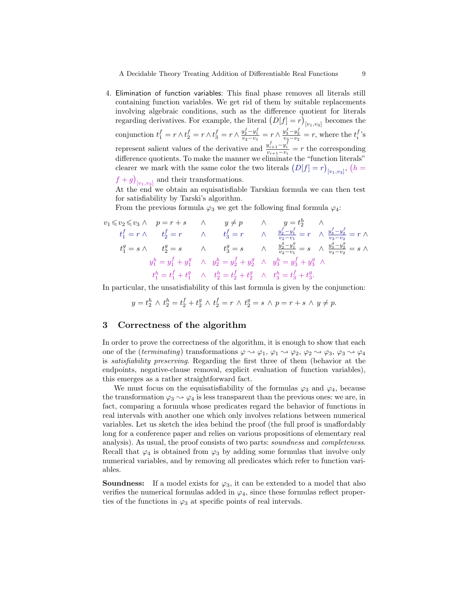A Decidable Theory Treating Addition of Differentiable Real Functions 9

4. Elimination of function variables: This final phase removes all literals still containing function variables. We get rid of them by suitable replacements involving algebraic conditions, such as the difference quotient for literals regarding derivatives. For example, the literal D[f] = r becomes the  $[v_1,v_3]$ conjunction  $t_1^f = r \wedge t_2^f = r \wedge t_3^f = r \wedge \frac{y_2^f - y_1^f}{v_2 - v_1} = r \wedge \frac{y_3^f - y_2^f}{v_3 - v_2} = r$ , where the  $t_i^f$ 's represent salient values of the derivative and  $\frac{y_{i+1}^f - y_i^f}{v_{i+1} - v_i} = r$  the corresponding difference quotients. To make the manner we eliminate the "function literals" clearer we mark with the same color the two literals  $(D[f] = r)_{[v_1, v_3]}$ ,  $(h =$ 

 $(f+g)_{[v_1,v_3]}$  and their transformations.

At the end we obtain an equisatisfiable Tarskian formula we can then test for satisfiability by Tarski's algorithm.

From the previous formula  $\varphi_3$  we get the following final formula  $\varphi_4$ :

$$
v_1 \le v_2 \le v_3 \wedge p = r + s \qquad \wedge \qquad y \ne p \qquad \wedge \qquad y = t_2^h \qquad \wedge
$$
  
\n
$$
t_1^f = r \wedge \qquad t_2^f = r \qquad \wedge \qquad t_3^f = r \qquad \wedge \qquad \frac{y_2^f - y_1^f}{v_2 - v_1} = r \qquad \wedge \frac{y_3^f - y_2^f}{v_3 - v_2} = r \wedge
$$
  
\n
$$
t_1^g = s \wedge \qquad t_2^g = s \qquad \wedge \qquad t_3^g = s \qquad \wedge \qquad \frac{y_2^g - y_1^g}{v_2 - v_1} = s \qquad \wedge \frac{y_3^g - y_2^g}{v_3 - v_2} = s \wedge
$$
  
\n
$$
y_1^h = y_1^f + y_1^g \qquad \wedge \qquad y_2^h = y_2^f + y_2^g \qquad \wedge \qquad y_3^h = y_3^f + y_3^g \qquad \wedge
$$
  
\n
$$
t_1^h = t_1^f + t_1^g \qquad \wedge \qquad t_2^h = t_2^f + t_2^g \qquad \wedge \qquad t_3^h = t_3^f + t_3^g.
$$

In particular, the unsatisfiability of this last formula is given by the conjunction:

$$
y = t_2^h \wedge t_2^h = t_2^f + t_2^g \wedge t_2^f = r \wedge t_2^g = s \wedge p = r + s \wedge y \neq p.
$$

## <span id="page-8-0"></span>3 Correctness of the algorithm

In order to prove the correctness of the algorithm, it is enough to show that each one of the (terminating) transformations  $\varphi \rightsquigarrow \varphi_1$ ,  $\varphi_1 \rightsquigarrow \varphi_2$ ,  $\varphi_2 \rightsquigarrow \varphi_3$ ,  $\varphi_3 \rightsquigarrow \varphi_4$ is satisfiability preserving. Regarding the first three of them (behavior at the endpoints, negative-clause removal, explicit evaluation of function variables), this emerges as a rather straightforward fact.

We must focus on the equisatisfiability of the formulas  $\varphi_3$  and  $\varphi_4$ , because the transformation  $\varphi_3 \leadsto \varphi_4$  is less transparent than the previous ones: we are, in fact, comparing a formula whose predicates regard the behavior of functions in real intervals with another one which only involves relations between numerical variables. Let us sketch the idea behind the proof (the full proof is unaffordably long for a conference paper and relies on various propositions of elementary real analysis). As usual, the proof consists of two parts: soundness and completeness. Recall that  $\varphi_4$  is obtained from  $\varphi_3$  by adding some formulas that involve only numerical variables, and by removing all predicates which refer to function variables.

**Soundness:** If a model exists for  $\varphi_3$ , it can be extended to a model that also verifies the numerical formulas added in  $\varphi_4$ , since these formulas reflect properties of the functions in  $\varphi_3$  at specific points of real intervals.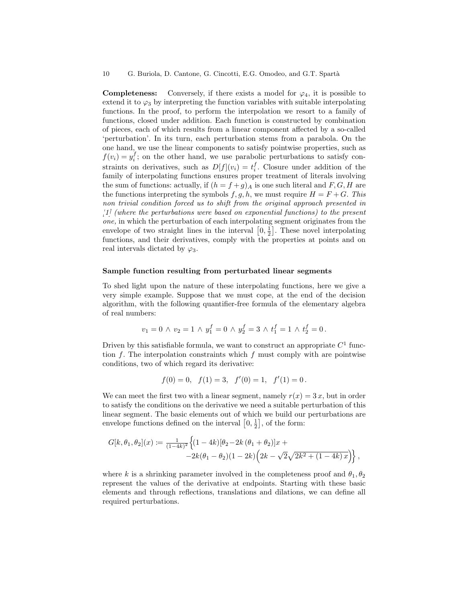**Completeness:** Conversely, if there exists a model for  $\varphi_4$ , it is possible to extend it to  $\varphi_3$  by interpreting the function variables with suitable interpolating functions. In the proof, to perform the interpolation we resort to a family of functions, closed under addition. Each function is constructed by combination of pieces, each of which results from a linear component affected by a so-called 'perturbation'. In its turn, each perturbation stems from a parabola. On the one hand, we use the linear components to satisfy pointwise properties, such as  $f(v_i) = y_i^f$ ; on the other hand, we use parabolic perturbations to satisfy constraints on derivatives, such as  $D[f](v_i) = t_i^f$ . Closure under addition of the family of interpolating functions ensures proper treatment of literals involving the sum of functions: actually, if  $(h = f + g)$  is one such literal and F, G, H are the functions interpreting the symbols  $f, g, h$ , we must require  $H = F + G$ . This non trivial condition forced us to shift from the original approach presented in [\[1\]](#page-12-1) (where the perturbations were based on exponential functions) to the present one, in which the perturbation of each interpolating segment originates from the envelope of two straight lines in the interval  $\left[0, \frac{1}{2}\right]$ . These novel interpolating functions, and their derivatives, comply with the properties at points and on real intervals dictated by  $\varphi_3$ .

#### Sample function resulting from perturbated linear segments

To shed light upon the nature of these interpolating functions, here we give a very simple example. Suppose that we must cope, at the end of the decision algorithm, with the following quantifier-free formula of the elementary algebra of real numbers:

$$
v_1 = 0 \ \land \ v_2 = 1 \ \land \ y_1^f = 0 \ \land \ y_2^f = 3 \ \land \ t_1^f = 1 \ \land \ t_2^f = 0 \, .
$$

Driven by this satisfiable formula, we want to construct an appropriate  $C<sup>1</sup>$  function  $f$ . The interpolation constraints which  $f$  must comply with are pointwise conditions, two of which regard its derivative:

$$
f(0) = 0
$$
,  $f(1) = 3$ ,  $f'(0) = 1$ ,  $f'(1) = 0$ .

We can meet the first two with a linear segment, namely  $r(x) = 3x$ , but in order to satisfy the conditions on the derivative we need a suitable perturbation of this linear segment. The basic elements out of which we build our perturbations are envelope functions defined on the interval  $[0, \frac{1}{2}]$ , of the form:

$$
G[k, \theta_1, \theta_2](x) := \frac{1}{(1-4k)^2} \Big\{ (1-4k) [\theta_2 - 2k (\theta_1 + \theta_2)]x +-2k(\theta_1 - \theta_2)(1-2k) (2k - \sqrt{2}\sqrt{2k^2 + (1-4k)x}) \Big\},
$$

where k is a shrinking parameter involved in the completeness proof and  $\theta_1, \theta_2$ represent the values of the derivative at endpoints. Starting with these basic elements and through reflections, translations and dilations, we can define all required perturbations.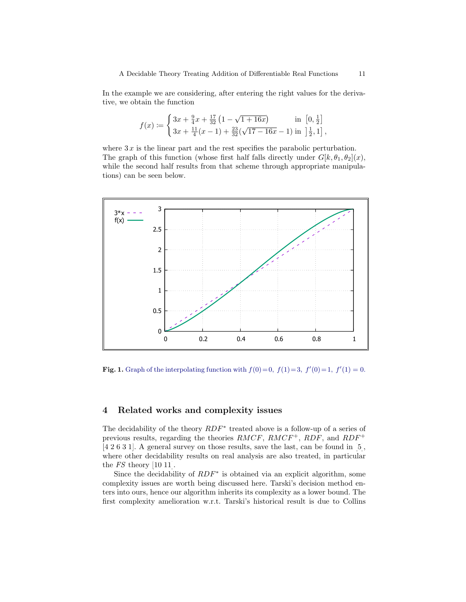In the example we are considering, after entering the right values for the derivative, we obtain the function

$$
f(x) \coloneqq \begin{cases} 3x + \frac{9}{4}x + \frac{17}{32} \left(1 - \sqrt{1 + 16x}\right) & \text{in } \left[0, \frac{1}{2}\right] \\ 3x + \frac{11}{4}(x - 1) + \frac{23}{32} \left(\sqrt{17 - 16x} - 1\right) & \text{in } \left[\frac{1}{2}, 1\right], \end{cases}
$$

where  $3x$  is the linear part and the rest specifies the parabolic perturbation. The graph of this function (whose first half falls directly under  $G[k, \theta_1, \theta_2](x)$ , while the second half results from that scheme through appropriate manipulations) can be seen below.



**Fig. 1.** Graph of the interpolating function with  $f(0)=0$ ,  $f(1)=3$ ,  $f'(0)=1$ ,  $f'(1)=0$ .

## 4 Related works and complexity issues

The decidability of the theory  $RDF^*$  treated above is a follow-up of a series of previous results, regarding the theories  $RMCF$ ,  $RMCF^+$ ,  $RDF$ , and  $RDF^+$ [\[4,](#page-12-2)[2](#page-12-0)[,6,](#page-12-3)[3,](#page-12-6)[1\]](#page-12-1). A general survey on those results, save the last, can be found in [\[5\]](#page-12-7), where other decidability results on real analysis are also treated, in particular the FS theory [\[10,](#page-12-8)[11\]](#page-12-9).

Since the decidability of  $RDF^*$  is obtained via an explicit algorithm, some complexity issues are worth being discussed here. Tarski's decision method enters into ours, hence our algorithm inherits its complexity as a lower bound. The first complexity amelioration w.r.t. Tarski's historical result is due to Collins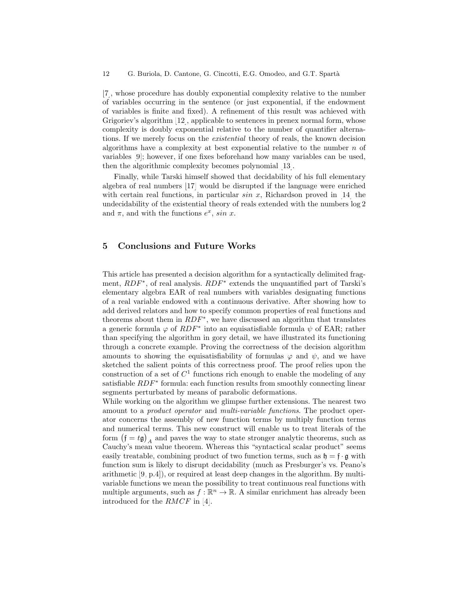[\[7\]](#page-12-5), whose procedure has doubly exponential complexity relative to the number of variables occurring in the sentence (or just exponential, if the endowment of variables is finite and fixed). A refinement of this result was achieved with Grigoriev's algorithm [\[12\]](#page-12-10), applicable to sentences in prenex normal form, whose complexity is doubly exponential relative to the number of quantifier alternations. If we merely focus on the existential theory of reals, the known decision algorithms have a complexity at best exponential relative to the number  $n$  of variables [\[9\]](#page-12-11); however, if one fixes beforehand how many variables can be used, then the algorithmic complexity becomes polynomial [\[13\]](#page-12-12).

Finally, while Tarski himself showed that decidability of his full elementary algebra of real numbers [\[17\]](#page-13-0) would be disrupted if the language were enriched with certain real functions, in particular  $sin\ x$ , Richardson proved in [\[14\]](#page-12-13) the undecidability of the existential theory of reals extended with the numbers log 2 and  $\pi$ , and with the functions  $e^x$ , sin x.

## 5 Conclusions and Future Works

This article has presented a decision algorithm for a syntactically delimited fragment,  $RDF^*$ , of real analysis.  $RDF^*$  extends the unquantified part of Tarski's elementary algebra EAR of real numbers with variables designating functions of a real variable endowed with a continuous derivative. After showing how to add derived relators and how to specify common properties of real functions and theorems about them in  $RDF^*$ , we have discussed an algorithm that translates a generic formula  $\varphi$  of  $RDF^*$  into an equisatisfiable formula  $\psi$  of EAR; rather than specifying the algorithm in gory detail, we have illustrated its functioning through a concrete example. Proving the correctness of the decision algorithm amounts to showing the equisatisfiability of formulas  $\varphi$  and  $\psi$ , and we have sketched the salient points of this correctness proof. The proof relies upon the construction of a set of  $C<sup>1</sup>$  functions rich enough to enable the modeling of any satisfiable  $RDF^*$  formula: each function results from smoothly connecting linear segments perturbated by means of parabolic deformations.

While working on the algorithm we glimpse further extensions. The nearest two amount to a *product operator* and *multi-variable functions*. The product operator concerns the assembly of new function terms by multiply function terms and numerical terms. This new construct will enable us to treat literals of the form  $(\mathfrak{f} = t\mathfrak{g})_A$  and paves the way to state stronger analytic theorems, such as Cauchy's mean value theorem. Whereas this "syntactical scalar product" seems easily treatable, combining product of two function terms, such as  $\mathfrak{h} = \mathfrak{f} \cdot \mathfrak{g}$  with function sum is likely to disrupt decidability (much as Presburger's vs. Peano's arithmetic [\[9,](#page-12-11) p.4]), or required at least deep changes in the algorithm. By multivariable functions we mean the possibility to treat continuous real functions with multiple arguments, such as  $f : \mathbb{R}^n \to \mathbb{R}$ . A similar enrichment has already been introduced for the RMCF in [\[4\]](#page-12-2).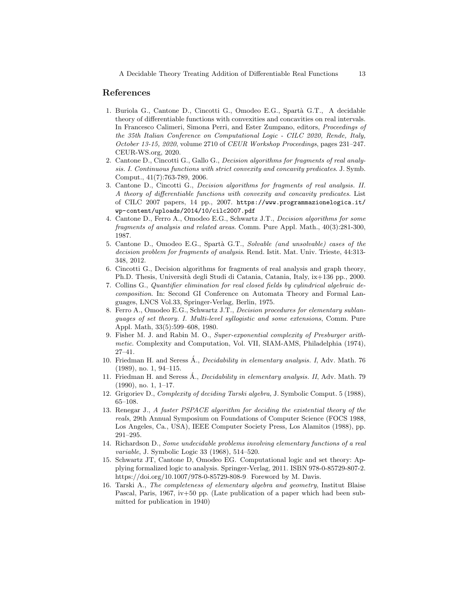### References

- <span id="page-12-1"></span>1. Buriola G., Cantone D., Cincotti G., Omodeo E.G., Spartà G.T., A decidable theory of differentiable functions with convexities and concavities on real intervals. In Francesco Calimeri, Simona Perri, and Ester Zumpano, editors, Proceedings of the 35th Italian Conference on Computational Logic - CILC 2020, Rende, Italy, October 13-15, 2020, volume 2710 of CEUR Workshop Proceedings, pages 231–247. CEUR-WS.org, 2020.
- <span id="page-12-0"></span>2. Cantone D., Cincotti G., Gallo G., Decision algorithms for fragments of real analysis. I. Continuous functions with strict convexity and concavity predicates. J. Symb. Comput., 41(7):763-789, 2006.
- <span id="page-12-6"></span>3. Cantone D., Cincotti G., Decision algorithms for fragments of real analysis. II. A theory of differentiable functions with convexity and concavity predicates. List of CILC 2007 papers, 14 pp., 2007. [https://www.programmazionelogica.it/](https://www.programmazionelogica.it/wp-content/uploads/2014/10/cilc2007.pdf) [wp-content/uploads/2014/10/cilc2007.pdf](https://www.programmazionelogica.it/wp-content/uploads/2014/10/cilc2007.pdf)
- <span id="page-12-2"></span>4. Cantone D., Ferro A., Omodeo E.G., Schwartz J.T., Decision algorithms for some fragments of analysis and related areas. Comm. Pure Appl. Math., 40(3):281-300, 1987.
- <span id="page-12-7"></span>5. Cantone D., Omodeo E.G., Spartà G.T., Solvable (and unsolvable) cases of the decision problem for fragments of analysis. Rend. Istit. Mat. Univ. Trieste, 44:313- 348, 2012.
- <span id="page-12-3"></span>6. Cincotti G., Decision algorithms for fragments of real analysis and graph theory, Ph.D. Thesis, Universit`a degli Studi di Catania, Catania, Italy, ix+136 pp., 2000.
- <span id="page-12-5"></span>7. Collins G., Quantifier elimination for real closed fields by cylindrical algebraic decomposition. In: Second GI Conference on Automata Theory and Formal Languages, LNCS Vol.33, Springer-Verlag, Berlin, 1975.
- 8. Ferro A., Omodeo E.G., Schwartz J.T., Decision procedures for elementary sublanguages of set theory. I. Multi-level syllogistic and some extensions, Comm. Pure Appl. Math, 33(5):599–608, 1980.
- <span id="page-12-11"></span>9. Fisher M. J. and Rabin M. O., Super-exponential complexity of Presburger arithmetic. Complexity and Computation, Vol. VII, SIAM-AMS, Philadelphia (1974), 27–41.
- <span id="page-12-8"></span>10. Friedman H. and Seress A., *Decidability in elementary analysis.* I, Adv. Math. 76 (1989), no. 1, 94–115.
- <span id="page-12-9"></span>11. Friedman H. and Seress  $\dot{A}$ ., *Decidability in elementary analysis. II*, Adv. Math. 79 (1990), no. 1, 1–17.
- <span id="page-12-10"></span>12. Grigoriev D., Complexity of deciding Tarski algebra, J. Symbolic Comput. 5 (1988), 65–108.
- <span id="page-12-12"></span>13. Renegar J., A faster PSPACE algorithm for deciding the existential theory of the reals, 29th Annual Symposium on Foundations of Computer Science (FOCS 1988, Los Angeles, Ca., USA), IEEE Computer Society Press, Los Alamitos (1988), pp. 291–295.
- <span id="page-12-13"></span>14. Richardson D., Some undecidable problems involving elementary functions of a real variable, J. Symbolic Logic 33 (1968), 514–520.
- <span id="page-12-4"></span>15. Schwartz JT, Cantone D, Omodeo EG. Computational logic and set theory: Applying formalized logic to analysis. Springer-Verlag, 2011. ISBN 978-0-85729-807-2. [https://doi.org/10.1007/978-0-85729-808-9.](https://doi.org/10.1007/978-0-85729-808-9) Foreword by M. Davis.
- 16. Tarski A., The completeness of elementary algebra and geometry, Institut Blaise Pascal, Paris, 1967, iv+50 pp. (Late publication of a paper which had been submitted for publication in 1940)